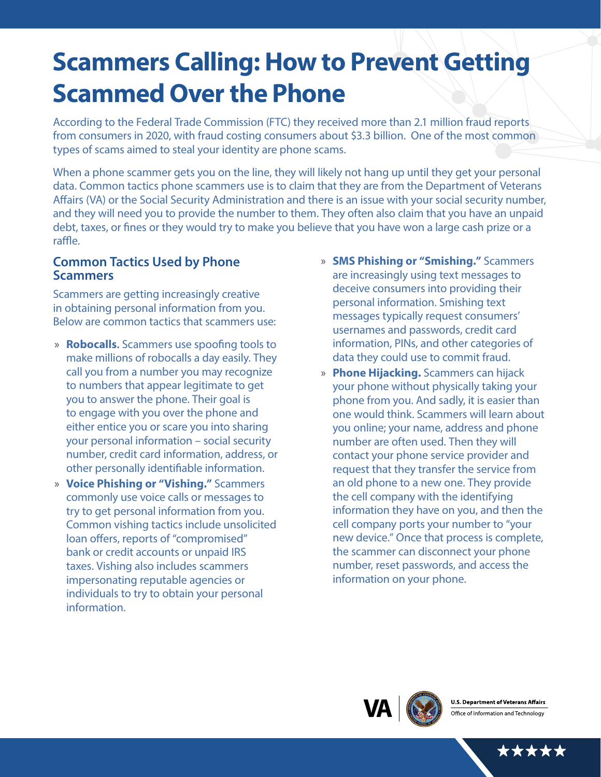# **Scammers Calling: How to Prevent Getting Scammed Over the Phone**

According to the Federal Trade Commission (FTC) they received more than 2.1 million fraud reports from consumers in 2020, with fraud costing consumers about \$3.3 billion. One of the most common types of scams aimed to steal your identity are phone scams.

When a phone scammer gets you on the line, they will likely not hang up until they get your personal data. Common tactics phone scammers use is to claim that they are from the Department of Veterans Affairs (VA) or the Social Security Administration and there is an issue with your social security number, and they will need you to provide the number to them. They often also claim that you have an unpaid debt, taxes, or fines or they would try to make you believe that you have won a large cash prize or a raffle.

#### **Common Tactics Used by Phone Scammers**

Scammers are getting increasingly creative in obtaining personal information from you. Below are common tactics that scammers use:

- » **Robocalls.** Scammers use spoofing tools to make millions of robocalls a day easily. They call you from a number you may recognize to numbers that appear legitimate to get you to answer the phone. Their goal is to engage with you over the phone and either entice you or scare you into sharing your personal information – social security number, credit card information, address, or other personally identifiable information.
- » **Voice Phishing or "Vishing."** Scammers commonly use voice calls or messages to try to get personal information from you. Common vishing tactics include unsolicited loan offers, reports of "compromised" bank or credit accounts or unpaid IRS taxes. Vishing also includes scammers impersonating reputable agencies or individuals to try to obtain your personal information.
- » **SMS Phishing or "Smishing."** Scammers are increasingly using text messages to deceive consumers into providing their personal information. Smishing text messages typically request consumers' usernames and passwords, credit card information, PINs, and other categories of data they could use to commit fraud.
- » **Phone Hijacking.** Scammers can hijack your phone without physically taking your phone from you. And sadly, it is easier than one would think. Scammers will learn about you online; your name, address and phone number are often used. Then they will contact your phone service provider and request that they transfer the service from an old phone to a new one. They provide the cell company with the identifying information they have on you, and then the cell company ports your number to "your new device." Once that process is complete, the scammer can disconnect your phone number, reset passwords, and access the information on your phone.



\*\*\*\*